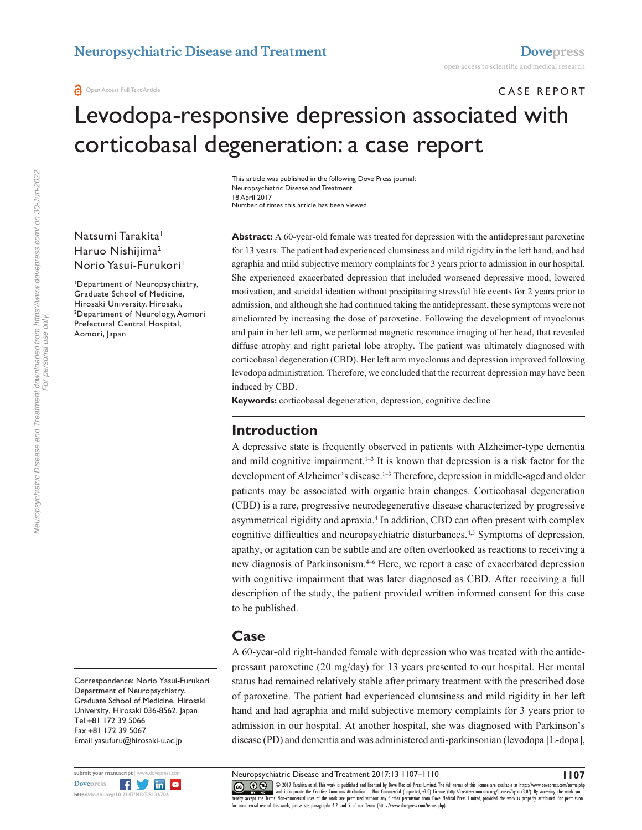# Case report Levodopa-responsive depression associated with corticobasal degeneration: a case report

Number of times this article has been viewed This article was published in the following Dove Press journal: Neuropsychiatric Disease and Treatment 18 April 2017

Natsumi Tarakita<sup>1</sup> Haruo Nishijima2 Norio Yasui-Furukori<sup>1</sup>

1 Department of Neuropsychiatry, Graduate School of Medicine, Hirosaki University, Hirosaki, 2 Department of Neurology, Aomori Prefectural Central Hospital, Aomori, Japan

for 13 years. The patient had experienced clumsiness and mild rigidity in the left hand, and had agraphia and mild subjective memory complaints for 3 years prior to admission in our hospital. She experienced exacerbated depression that included worsened depressive mood, lowered motivation, and suicidal ideation without precipitating stressful life events for 2 years prior to admission, and although she had continued taking the antidepressant, these symptoms were not ameliorated by increasing the dose of paroxetine. Following the development of myoclonus and pain in her left arm, we performed magnetic resonance imaging of her head, that revealed diffuse atrophy and right parietal lobe atrophy. The patient was ultimately diagnosed with corticobasal degeneration (CBD). Her left arm myoclonus and depression improved following levodopa administration. Therefore, we concluded that the recurrent depression may have been induced by CBD. **Keywords:** corticobasal degeneration, depression, cognitive decline

**Abstract:** A 60-year-old female was treated for depression with the antidepressant paroxetine

### **Introduction**

A depressive state is frequently observed in patients with Alzheimer-type dementia and mild cognitive impairment.<sup>1-3</sup> It is known that depression is a risk factor for the development of Alzheimer's disease.<sup>1-3</sup> Therefore, depression in middle-aged and older patients may be associated with organic brain changes. Corticobasal degeneration (CBD) is a rare, progressive neurodegenerative disease characterized by progressive asymmetrical rigidity and apraxia.<sup>4</sup> In addition, CBD can often present with complex cognitive difficulties and neuropsychiatric disturbances.4,5 Symptoms of depression, apathy, or agitation can be subtle and are often overlooked as reactions to receiving a new diagnosis of Parkinsonism.4–6 Here, we report a case of exacerbated depression with cognitive impairment that was later diagnosed as CBD. After receiving a full description of the study, the patient provided written informed consent for this case to be published.

### **Case**

A 60-year-old right-handed female with depression who was treated with the antidepressant paroxetine (20 mg/day) for 13 years presented to our hospital. Her mental status had remained relatively stable after primary treatment with the prescribed dose of paroxetine. The patient had experienced clumsiness and mild rigidity in her left hand and had agraphia and mild subjective memory complaints for 3 years prior to admission in our hospital. At another hospital, she was diagnosed with Parkinson's disease (PD) and dementia and was administered anti-parkinsonian (levodopa [L-dopa],

Neuropsychiatric Disease and Treatment 2017:13 1107–1110

**1107**

CCC 1 © 2017 Tarakita et al. This work is published and licensed by Dove Medical Press Limited. The full terms of this license are available at <https://www.dovepress.com/terms.php><br>[hereby accept the Terms](http://www.dovepress.com/permissions.php). Non-commercial us

Correspondence: Norio Yasui-Furukori Department of Neuropsychiatry, Graduate School of Medicine, Hirosaki University, Hirosaki 036-8562, Japan Tel +81 172 39 5066 Fax +81 172 39 5067 Email [yasufuru@hirosaki-u.ac.jp](mailto:yasufuru@hirosaki-u.ac.jp)

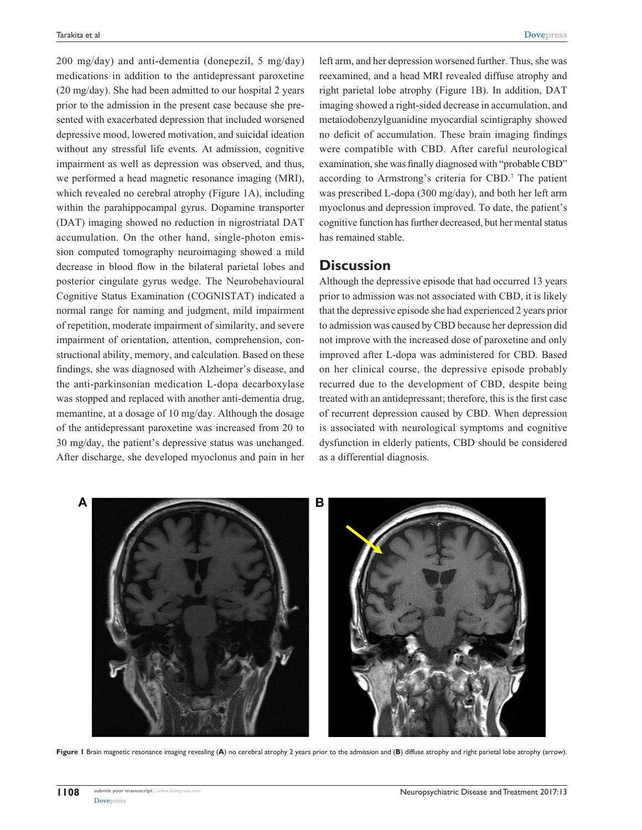200 mg/day) and anti-dementia (donepezil, 5 mg/day) medications in addition to the antidepressant paroxetine (20 mg/day). She had been admitted to our hospital 2 years prior to the admission in the present case because she presented with exacerbated depression that included worsened depressive mood, lowered motivation, and suicidal ideation without any stressful life events. At admission, cognitive impairment as well as depression was observed, and thus, we performed a head magnetic resonance imaging (MRI), which revealed no cerebral atrophy (Figure 1A), including within the parahippocampal gyrus. Dopamine transporter (DAT) imaging showed no reduction in nigrostriatal DAT accumulation. On the other hand, single-photon emission computed tomography neuroimaging showed a mild decrease in blood flow in the bilateral parietal lobes and posterior cingulate gyrus wedge. The Neurobehavioural Cognitive Status Examination (COGNISTAT) indicated a normal range for naming and judgment, mild impairment of repetition, moderate impairment of similarity, and severe impairment of orientation, attention, comprehension, constructional ability, memory, and calculation. Based on these findings, she was diagnosed with Alzheimer's disease, and the anti-parkinsonian medication L-dopa decarboxylase was stopped and replaced with another anti-dementia drug, memantine, at a dosage of 10 mg/day. Although the dosage of the antidepressant paroxetine was increased from 20 to 30 mg/day, the patient's depressive status was unchanged. After discharge, she developed myoclonus and pain in her left arm, and her depression worsened further. Thus, she was reexamined, and a head MRI revealed diffuse atrophy and right parietal lobe atrophy (Figure 1B). In addition, DAT imaging showed a right-sided decrease in accumulation, and metaiodobenzylguanidine myocardial scintigraphy showed no deficit of accumulation. These brain imaging findings were compatible with CBD. After careful neurological examination, she was finally diagnosed with "probable CBD" according to Armstrong's criteria for CBD.<sup>7</sup> The patient was prescribed L-dopa (300 mg/day), and both her left arm myoclonus and depression improved. To date, the patient's cognitive function has further decreased, but her mental status has remained stable.

### **Discussion**

Although the depressive episode that had occurred 13 years prior to admission was not associated with CBD, it is likely that the depressive episode she had experienced 2 years prior to admission was caused by CBD because her depression did not improve with the increased dose of paroxetine and only improved after L-dopa was administered for CBD. Based on her clinical course, the depressive episode probably recurred due to the development of CBD, despite being treated with an antidepressant; therefore, this is the first case of recurrent depression caused by CBD. When depression is associated with neurological symptoms and cognitive dysfunction in elderly patients, CBD should be considered as a differential diagnosis.



**Figure 1** Brain magnetic resonance imaging revealing (**A**) no cerebral atrophy 2 years prior to the admission and (**B**) diffuse atrophy and right parietal lobe atrophy (arrow).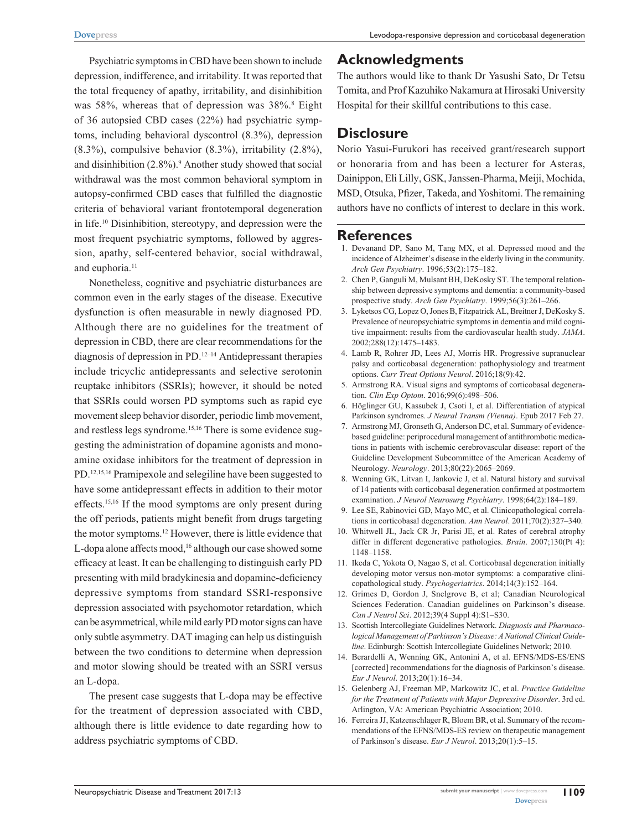Psychiatric symptoms in CBD have been shown to include depression, indifference, and irritability. It was reported that the total frequency of apathy, irritability, and disinhibition was 58%, whereas that of depression was 38%.<sup>8</sup> Eight of 36 autopsied CBD cases (22%) had psychiatric symptoms, including behavioral dyscontrol (8.3%), depression (8.3%), compulsive behavior (8.3%), irritability (2.8%), and disinhibition (2.8%).<sup>9</sup> Another study showed that social withdrawal was the most common behavioral symptom in autopsy-confirmed CBD cases that fulfilled the diagnostic criteria of behavioral variant frontotemporal degeneration in life.10 Disinhibition, stereotypy, and depression were the most frequent psychiatric symptoms, followed by aggression, apathy, self-centered behavior, social withdrawal, and euphoria.<sup>11</sup>

Nonetheless, cognitive and psychiatric disturbances are common even in the early stages of the disease. Executive dysfunction is often measurable in newly diagnosed PD. Although there are no guidelines for the treatment of depression in CBD, there are clear recommendations for the diagnosis of depression in PD.12–14 Antidepressant therapies include tricyclic antidepressants and selective serotonin reuptake inhibitors (SSRIs); however, it should be noted that SSRIs could worsen PD symptoms such as rapid eye movement sleep behavior disorder, periodic limb movement, and restless legs syndrome.<sup>15,16</sup> There is some evidence suggesting the administration of dopamine agonists and monoamine oxidase inhibitors for the treatment of depression in PD.12,15,16 Pramipexole and selegiline have been suggested to have some antidepressant effects in addition to their motor effects.15,16 If the mood symptoms are only present during the off periods, patients might benefit from drugs targeting the motor symptoms.12 However, there is little evidence that L-dopa alone affects mood,<sup>16</sup> although our case showed some efficacy at least. It can be challenging to distinguish early PD presenting with mild bradykinesia and dopamine-deficiency depressive symptoms from standard SSRI-responsive depression associated with psychomotor retardation, which can be asymmetrical, while mild early PD motor signs can have only subtle asymmetry. DAT imaging can help us distinguish between the two conditions to determine when depression and motor slowing should be treated with an SSRI versus an L-dopa.

The present case suggests that L-dopa may be effective for the treatment of depression associated with CBD, although there is little evidence to date regarding how to address psychiatric symptoms of CBD.

# **Acknowledgments**

The authors would like to thank Dr Yasushi Sato, Dr Tetsu Tomita, and Prof Kazuhiko Nakamura at Hirosaki University Hospital for their skillful contributions to this case.

## **Disclosure**

Norio Yasui-Furukori has received grant/research support or honoraria from and has been a lecturer for Asteras, Dainippon, Eli Lilly, GSK, Janssen-Pharma, Meiji, Mochida, MSD, Otsuka, Pfizer, Takeda, and Yoshitomi. The remaining authors have no conflicts of interest to declare in this work.

### **References**

- 1. Devanand DP, Sano M, Tang MX, et al. Depressed mood and the incidence of Alzheimer's disease in the elderly living in the community. *Arch Gen Psychiatry*. 1996;53(2):175–182.
- 2. Chen P, Ganguli M, Mulsant BH, DeKosky ST. The temporal relationship between depressive symptoms and dementia: a community-based prospective study. *Arch Gen Psychiatry*. 1999;56(3):261–266.
- 3. Lyketsos CG, Lopez O, Jones B, Fitzpatrick AL, Breitner J, DeKosky S. Prevalence of neuropsychiatric symptoms in dementia and mild cognitive impairment: results from the cardiovascular health study. *JAMA*. 2002;288(12):1475–1483.
- 4. Lamb R, Rohrer JD, Lees AJ, Morris HR. Progressive supranuclear palsy and corticobasal degeneration: pathophysiology and treatment options. *Curr Treat Options Neurol*. 2016;18(9):42.
- 5. Armstrong RA. Visual signs and symptoms of corticobasal degeneration. *Clin Exp Optom*. 2016;99(6):498–506.
- 6. Höglinger GU, Kassubek J, Csoti I, et al. Differentiation of atypical Parkinson syndromes. *J Neural Transm (Vienna)*. Epub 2017 Feb 27.
- 7. Armstrong MJ, Gronseth G, Anderson DC, et al. Summary of evidencebased guideline: periprocedural management of antithrombotic medications in patients with ischemic cerebrovascular disease: report of the Guideline Development Subcommittee of the American Academy of Neurology. *Neurology*. 2013;80(22):2065–2069.
- 8. Wenning GK, Litvan I, Jankovic J, et al. Natural history and survival of 14 patients with corticobasal degeneration confirmed at postmortem examination. *J Neurol Neurosurg Psychiatry*. 1998;64(2):184–189.
- 9. Lee SE, Rabinovici GD, Mayo MC, et al. Clinicopathological correlations in corticobasal degeneration. *Ann Neurol*. 2011;70(2):327–340.
- 10. Whitwell JL, Jack CR Jr, Parisi JE, et al. Rates of cerebral atrophy differ in different degenerative pathologies. *Brain*. 2007;130(Pt 4): 1148–1158.
- 11. Ikeda C, Yokota O, Nagao S, et al. Corticobasal degeneration initially developing motor versus non-motor symptoms: a comparative clinicopathological study. *Psychogeriatrics*. 2014;14(3):152–164.
- 12. Grimes D, Gordon J, Snelgrove B, et al; Canadian Neurological Sciences Federation. Canadian guidelines on Parkinson's disease. *Can J Neurol Sci*. 2012;39(4 Suppl 4):S1–S30.
- 13. Scottish Intercollegiate Guidelines Network. *Diagnosis and Pharmacological Management of Parkinson's Disease: A National Clinical Guideline*. Edinburgh: Scottish Intercollegiate Guidelines Network; 2010.
- 14. Berardelli A, Wenning GK, Antonini A, et al. EFNS/MDS-ES/ENS [corrected] recommendations for the diagnosis of Parkinson's disease. *Eur J Neurol*. 2013;20(1):16–34.
- 15. Gelenberg AJ, Freeman MP, Markowitz JC, et al. *Practice Guideline for the Treatment of Patients with Major Depressive Disorder*. 3rd ed. Arlington, VA: American Psychiatric Association; 2010.
- 16. Ferreira JJ, Katzenschlager R, Bloem BR, et al. Summary of the recommendations of the EFNS/MDS-ES review on therapeutic management of Parkinson's disease. *Eur J Neurol*. 2013;20(1):5–15.